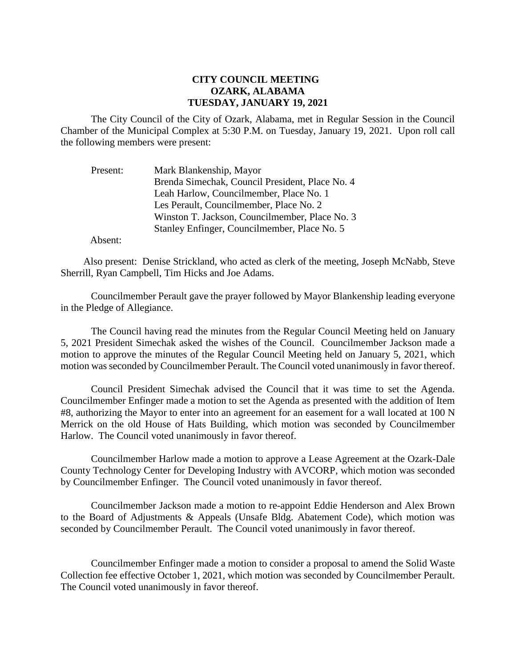## **CITY COUNCIL MEETING OZARK, ALABAMA TUESDAY, JANUARY 19, 2021**

The City Council of the City of Ozark, Alabama, met in Regular Session in the Council Chamber of the Municipal Complex at 5:30 P.M. on Tuesday, January 19, 2021. Upon roll call the following members were present:

| Present: | Mark Blankenship, Mayor                         |
|----------|-------------------------------------------------|
|          | Brenda Simechak, Council President, Place No. 4 |
|          | Leah Harlow, Councilmember, Place No. 1         |
|          | Les Perault, Councilmember, Place No. 2         |
|          | Winston T. Jackson, Councilmember, Place No. 3  |
|          | Stanley Enfinger, Councilmember, Place No. 5    |

Absent:

Also present: Denise Strickland, who acted as clerk of the meeting, Joseph McNabb, Steve Sherrill, Ryan Campbell, Tim Hicks and Joe Adams.

Councilmember Perault gave the prayer followed by Mayor Blankenship leading everyone in the Pledge of Allegiance.

The Council having read the minutes from the Regular Council Meeting held on January 5, 2021 President Simechak asked the wishes of the Council. Councilmember Jackson made a motion to approve the minutes of the Regular Council Meeting held on January 5, 2021, which motion was seconded by Councilmember Perault. The Council voted unanimously in favor thereof.

Council President Simechak advised the Council that it was time to set the Agenda. Councilmember Enfinger made a motion to set the Agenda as presented with the addition of Item #8, authorizing the Mayor to enter into an agreement for an easement for a wall located at 100 N Merrick on the old House of Hats Building, which motion was seconded by Councilmember Harlow. The Council voted unanimously in favor thereof.

Councilmember Harlow made a motion to approve a Lease Agreement at the Ozark-Dale County Technology Center for Developing Industry with AVCORP, which motion was seconded by Councilmember Enfinger. The Council voted unanimously in favor thereof.

Councilmember Jackson made a motion to re-appoint Eddie Henderson and Alex Brown to the Board of Adjustments & Appeals (Unsafe Bldg. Abatement Code), which motion was seconded by Councilmember Perault. The Council voted unanimously in favor thereof.

Councilmember Enfinger made a motion to consider a proposal to amend the Solid Waste Collection fee effective October 1, 2021, which motion was seconded by Councilmember Perault. The Council voted unanimously in favor thereof.